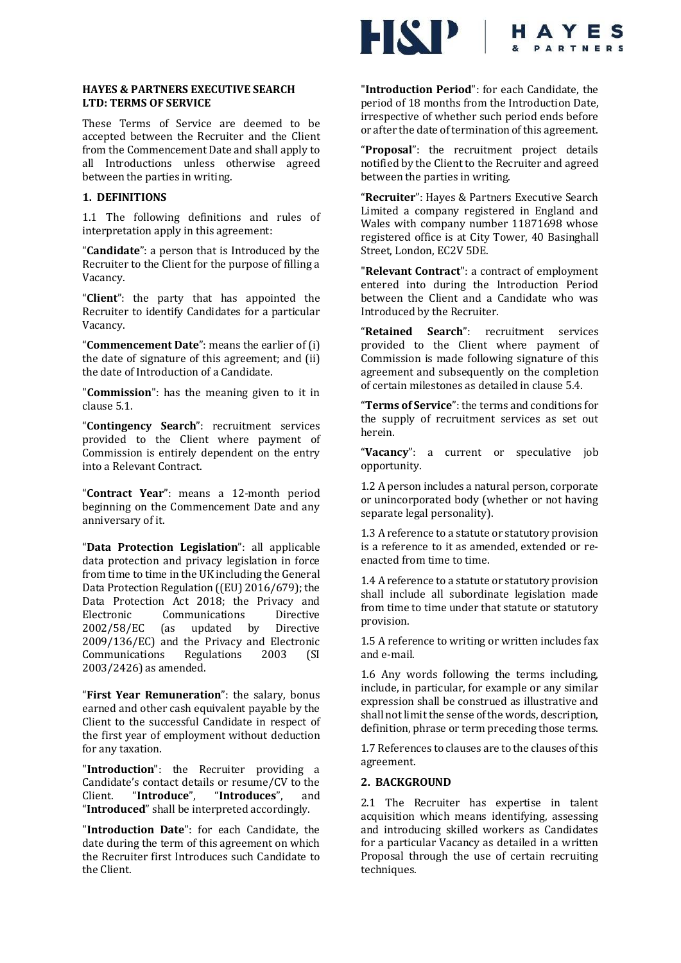

#### **HAYES & PARTNERS EXECUTIVE SEARCH LTD: TERMS OF SERVICE**

These Terms of Service are deemed to be accepted between the Recruiter and the Client from the Commencement Date and shall apply to all Introductions unless otherwise agreed between the parties in writing.

#### **1. DEFINITIONS**

1.1 The following definitions and rules of interpretation apply in this agreement:

"**Candidate**": a person that is Introduced by the Recruiter to the Client for the purpose of filling a Vacancy.

"**Client**": the party that has appointed the Recruiter to identify Candidates for a particular Vacancy.

"**Commencement Date**": means the earlier of (i) the date of signature of this agreement; and (ii) the date of Introduction of a Candidate.

"**Commission**": has the meaning given to it in clause 5.1.

"**Contingency Search**": recruitment services provided to the Client where payment of Commission is entirely dependent on the entry into a Relevant Contract.

"**Contract Year**": means a 12-month period beginning on the Commencement Date and any anniversary of it.

"**Data Protection Legislation**": all applicable data protection and privacy legislation in force from time to time in the UK including the General Data Protection Regulation ((EU) 2016/679); the Data Protection Act 2018; the Privacy and Electronic Communications Directive 2002/58/EC (as updated by Directive 2009/136/EC) and the Privacy and Electronic Communications Regulations 2003 (SI 2003/2426) as amended.

"**First Year Remuneration**": the salary, bonus earned and other cash equivalent payable by the Client to the successful Candidate in respect of the first year of employment without deduction for any taxation.

"**Introduction**": the Recruiter providing a Candidate's contact details or resume/CV to the<br>Client. "Introduce". "Introduces". and Client. "**Introduce**", "**Introduces**", and "**Introduced**" shall be interpreted accordingly.

"**Introduction Date**": for each Candidate, the date during the term of this agreement on which the Recruiter first Introduces such Candidate to the Client.

"**Introduction Period**": for each Candidate, the period of 18 months from the Introduction Date, irrespective of whether such period ends before or after the date of termination of this agreement.

"**Proposal**": the recruitment project details notified by the Client to the Recruiter and agreed between the parties in writing.

"**Recruiter**": Hayes & Partners Executive Search Limited a company registered in England and Wales with company number 11871698 whose registered office is at City Tower, 40 Basinghall Street, London, EC2V 5DE.

"**Relevant Contract**": a contract of employment entered into during the Introduction Period between the Client and a Candidate who was Introduced by the Recruiter.

"**Retained Search**": recruitment services provided to the Client where payment of Commission is made following signature of this agreement and subsequently on the completion of certain milestones as detailed in clause 5.4.

"**Terms of Service**": the terms and conditions for the supply of recruitment services as set out herein.

"**Vacancy**": a current or speculative job opportunity.

1.2 A person includes a natural person, corporate or unincorporated body (whether or not having separate legal personality).

1.3 A reference to a statute or statutory provision is a reference to it as amended, extended or reenacted from time to time.

1.4 A reference to a statute or statutory provision shall include all subordinate legislation made from time to time under that statute or statutory provision.

1.5 A reference to writing or written includes fax and e-mail.

1.6 Any words following the terms including, include, in particular, for example or any similar expression shall be construed as illustrative and shall not limit the sense of the words, description, definition, phrase or term preceding those terms.

1.7 References to clauses are to the clauses of this agreement.

#### **2. BACKGROUND**

2.1 The Recruiter has expertise in talent acquisition which means identifying, assessing and introducing skilled workers as Candidates for a particular Vacancy as detailed in a written Proposal through the use of certain recruiting techniques.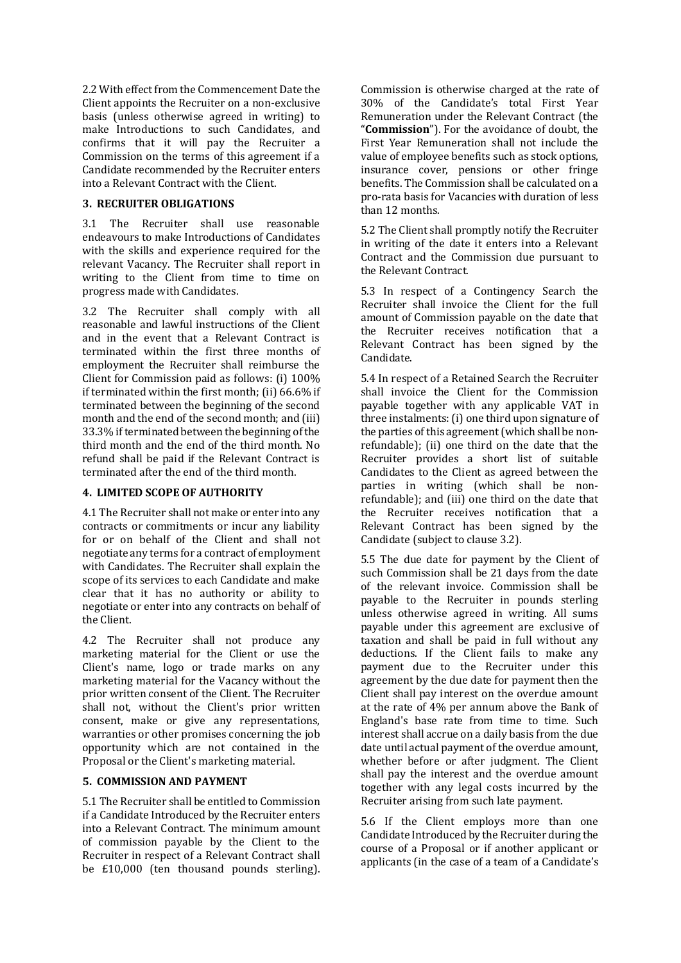2.2 With effect from the Commencement Date the Client appoints the Recruiter on a non-exclusive basis (unless otherwise agreed in writing) to make Introductions to such Candidates, and confirms that it will pay the Recruiter a Commission on the terms of this agreement if a Candidate recommended by the Recruiter enters into a Relevant Contract with the Client.

### **3. RECRUITER OBLIGATIONS**

3.1 The Recruiter shall use reasonable endeavours to make Introductions of Candidates with the skills and experience required for the relevant Vacancy. The Recruiter shall report in writing to the Client from time to time on progress made with Candidates.

3.2 The Recruiter shall comply with all reasonable and lawful instructions of the Client and in the event that a Relevant Contract is terminated within the first three months of employment the Recruiter shall reimburse the Client for Commission paid as follows: (i) 100% if terminated within the first month; (ii) 66.6% if terminated between the beginning of the second month and the end of the second month; and (iii) 33.3% if terminated between the beginning of the third month and the end of the third month. No refund shall be paid if the Relevant Contract is terminated after the end of the third month.

#### **4. LIMITED SCOPE OF AUTHORITY**

4.1 The Recruiter shall not make or enter into any contracts or commitments or incur any liability for or on behalf of the Client and shall not negotiate any terms for a contract of employment with Candidates. The Recruiter shall explain the scope of its services to each Candidate and make clear that it has no authority or ability to negotiate or enter into any contracts on behalf of the Client.

4.2 The Recruiter shall not produce any marketing material for the Client or use the Client's name, logo or trade marks on any marketing material for the Vacancy without the prior written consent of the Client. The Recruiter shall not, without the Client's prior written consent, make or give any representations, warranties or other promises concerning the job opportunity which are not contained in the Proposal or the Client's marketing material.

### **5. COMMISSION AND PAYMENT**

5.1 The Recruiter shall be entitled to Commission if a Candidate Introduced by the Recruiter enters into a Relevant Contract. The minimum amount of commission payable by the Client to the Recruiter in respect of a Relevant Contract shall be £10,000 (ten thousand pounds sterling).

Commission is otherwise charged at the rate of 30% of the Candidate's total First Year Remuneration under the Relevant Contract (the "**Commission**"). For the avoidance of doubt, the First Year Remuneration shall not include the value of employee benefits such as stock options, insurance cover, pensions or other fringe benefits. The Commission shall be calculated on a pro-rata basis for Vacancies with duration of less than 12 months.

5.2 The Client shall promptly notify the Recruiter in writing of the date it enters into a Relevant Contract and the Commission due pursuant to the Relevant Contract.

5.3 In respect of a Contingency Search the Recruiter shall invoice the Client for the full amount of Commission payable on the date that the Recruiter receives notification that a Relevant Contract has been signed by the Candidate.

5.4 In respect of a Retained Search the Recruiter shall invoice the Client for the Commission payable together with any applicable VAT in three instalments: (i) one third upon signature of the parties of this agreement(which shall be nonrefundable); (ii) one third on the date that the Recruiter provides a short list of suitable Candidates to the Client as agreed between the parties in writing (which shall be nonrefundable); and (iii) one third on the date that the Recruiter receives notification that a Relevant Contract has been signed by the Candidate (subject to clause 3.2).

5.5 The due date for payment by the Client of such Commission shall be 21 days from the date of the relevant invoice. Commission shall be payable to the Recruiter in pounds sterling unless otherwise agreed in writing. All sums payable under this agreement are exclusive of taxation and shall be paid in full without any deductions. If the Client fails to make any payment due to the Recruiter under this agreement by the due date for payment then the Client shall pay interest on the overdue amount at the rate of 4% per annum above the Bank of England's base rate from time to time. Such interest shall accrue on a daily basis from the due date until actual payment of the overdue amount, whether before or after judgment. The Client shall pay the interest and the overdue amount together with any legal costs incurred by the Recruiter arising from such late payment.

5.6 If the Client employs more than one Candidate Introduced by the Recruiter during the course of a Proposal or if another applicant or applicants (in the case of a team of a Candidate's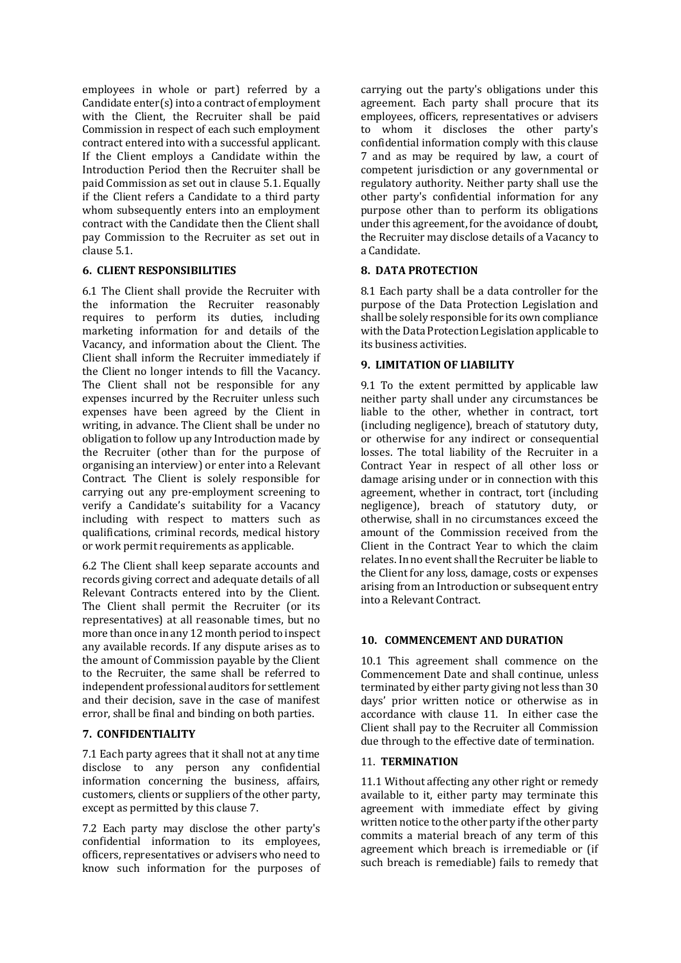employees in whole or part) referred by a Candidate  $enter(s)$  into a contract of employment with the Client, the Recruiter shall be paid Commission in respect of each such employment contract entered into with a successful applicant. If the Client employs a Candidate within the Introduction Period then the Recruiter shall be paid Commission as set out in clause 5.1. Equally if the Client refers a Candidate to a third party whom subsequently enters into an employment contract with the Candidate then the Client shall pay Commission to the Recruiter as set out in clause 5.1.

# **6. CLIENT RESPONSIBILITIES**

6.1 The Client shall provide the Recruiter with the information the Recruiter reasonably requires to perform its duties, including marketing information for and details of the Vacancy, and information about the Client. The Client shall inform the Recruiter immediately if the Client no longer intends to fill the Vacancy. The Client shall not be responsible for any expenses incurred by the Recruiter unless such expenses have been agreed by the Client in writing, in advance. The Client shall be under no obligation to follow up any Introduction made by the Recruiter (other than for the purpose of organising an interview) or enter into a Relevant Contract. The Client is solely responsible for carrying out any pre-employment screening to verify a Candidate's suitability for a Vacancy including with respect to matters such as qualifications, criminal records, medical history or work permit requirements as applicable.

6.2 The Client shall keep separate accounts and records giving correct and adequate details of all Relevant Contracts entered into by the Client. The Client shall permit the Recruiter (or its representatives) at all reasonable times, but no more than once in any 12 month period to inspect any available records. If any dispute arises as to the amount of Commission payable by the Client to the Recruiter, the same shall be referred to independent professional auditors for settlement and their decision, save in the case of manifest error, shall be final and binding on both parties.

#### **7. CONFIDENTIALITY**

7.1 Each party agrees that it shall not at any time disclose to any person any confidential information concerning the business, affairs, customers, clients or suppliers of the other party, except as permitted by this clause 7.

7.2 Each party may disclose the other party's confidential information to its employees, officers, representatives or advisers who need to know such information for the purposes of carrying out the party's obligations under this agreement. Each party shall procure that its employees, officers, representatives or advisers to whom it discloses the other party's confidential information comply with this clause 7 and as may be required by law, a court of competent jurisdiction or any governmental or regulatory authority. Neither party shall use the other party's confidential information for any purpose other than to perform its obligations under this agreement, for the avoidance of doubt, the Recruiter may disclose details of a Vacancy to a Candidate.

### **8. DATA PROTECTION**

8.1 Each party shall be a data controller for the purpose of the Data Protection Legislation and shall be solely responsible for its own compliance with the Data Protection Legislation applicable to its business activities.

#### **9. LIMITATION OF LIABILITY**

9.1 To the extent permitted by applicable law neither party shall under any circumstances be liable to the other, whether in contract, tort (including negligence), breach of statutory duty, or otherwise for any indirect or consequential losses. The total liability of the Recruiter in a Contract Year in respect of all other loss or damage arising under or in connection with this agreement, whether in contract, tort (including negligence), breach of statutory duty, or otherwise, shall in no circumstances exceed the amount of the Commission received from the Client in the Contract Year to which the claim relates. In no event shall the Recruiter be liable to the Client for any loss, damage, costs or expenses arising from an Introduction or subsequent entry into a Relevant Contract.

# **10. COMMENCEMENT AND DURATION**

10.1 This agreement shall commence on the Commencement Date and shall continue, unless terminated by either party giving not less than 30 days' prior written notice or otherwise as in accordance with clause 11. In either case the Client shall pay to the Recruiter all Commission due through to the effective date of termination.

# 11. **TERMINATION**

11.1 Without affecting any other right or remedy available to it, either party may terminate this agreement with immediate effect by giving written notice to the other party if the other party commits a material breach of any term of this agreement which breach is irremediable or (if such breach is remediable) fails to remedy that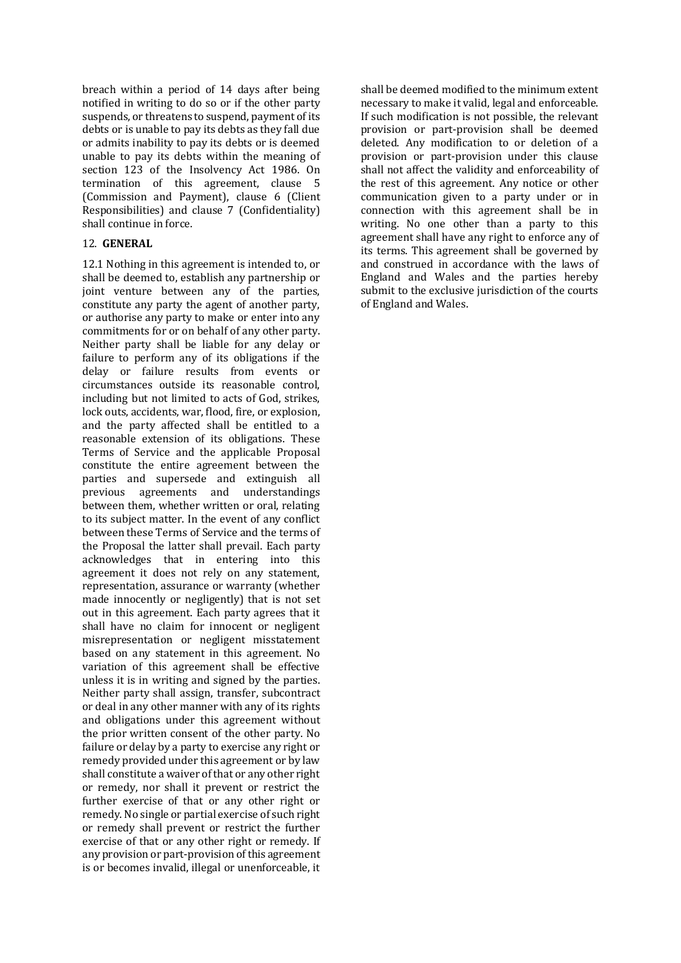breach within a period of 14 days after being notified in writing to do so or if the other party suspends, or threatens to suspend, payment of its debts or is unable to pay its debts as they fall due or admits inability to pay its debts or is deemed unable to pay its debts within the meaning of section 123 of the Insolvency Act 1986. On termination of this agreement, clause 5 (Commission and Payment), clause 6 (Client Responsibilities) and clause 7 (Confidentiality) shall continue in force.

#### 12. **GENERAL**

12.1 Nothing in this agreement is intended to, or shall be deemed to, establish any partnership or joint venture between any of the parties, constitute any party the agent of another party, or authorise any party to make or enter into any commitments for or on behalf of any other party. Neither party shall be liable for any delay or failure to perform any of its obligations if the delay or failure results from events or circumstances outside its reasonable control, including but not limited to acts of God, strikes, lock outs, accidents, war, flood, fire, or explosion, and the party affected shall be entitled to a reasonable extension of its obligations. These Terms of Service and the applicable Proposal constitute the entire agreement between the parties and supersede and extinguish all previous agreements and understandings between them, whether written or oral, relating to its subject matter. In the event of any conflict between these Terms of Service and the terms of the Proposal the latter shall prevail. Each party acknowledges that in entering into this agreement it does not rely on any statement, representation, assurance or warranty (whether made innocently or negligently) that is not set out in this agreement. Each party agrees that it shall have no claim for innocent or negligent misrepresentation or negligent misstatement based on any statement in this agreement. No variation of this agreement shall be effective unless it is in writing and signed by the parties. Neither party shall assign, transfer, subcontract or deal in any other manner with any of its rights and obligations under this agreement without the prior written consent of the other party. No failure or delay by a party to exercise any right or remedy provided under this agreement or by law shall constitute a waiver of that or any other right or remedy, nor shall it prevent or restrict the further exercise of that or any other right or remedy. No single or partial exercise of such right or remedy shall prevent or restrict the further exercise of that or any other right or remedy. If any provision or part-provision of this agreement is or becomes invalid, illegal or unenforceable, it shall be deemed modified to the minimum extent necessary to make it valid, legal and enforceable. If such modification is not possible, the relevant provision or part-provision shall be deemed deleted. Any modification to or deletion of a provision or part-provision under this clause shall not affect the validity and enforceability of the rest of this agreement. Any notice or other communication given to a party under or in connection with this agreement shall be in writing. No one other than a party to this agreement shall have any right to enforce any of its terms. This agreement shall be governed by and construed in accordance with the laws of England and Wales and the parties hereby submit to the exclusive jurisdiction of the courts of England and Wales.